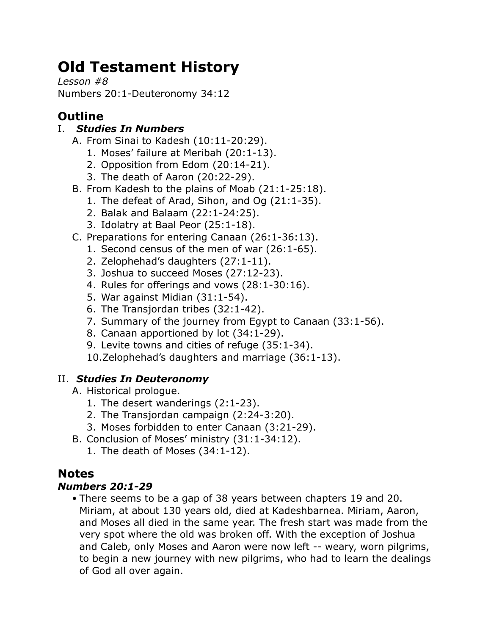# **Old Testament History**

*Lesson #8* Numbers 20:1-Deuteronomy 34:12

## **Outline**

#### I. *Studies In Numbers*

- A. From Sinai to Kadesh (10:11-20:29).
	- 1. Moses' failure at Meribah (20:1-13).
	- 2. Opposition from Edom (20:14-21).
	- 3. The death of Aaron (20:22-29).
- B. From Kadesh to the plains of Moab (21:1-25:18).
	- 1. The defeat of Arad, Sihon, and Og (21:1-35).
	- 2. Balak and Balaam (22:1-24:25).
	- 3. Idolatry at Baal Peor (25:1-18).
- C. Preparations for entering Canaan (26:1-36:13).
	- 1. Second census of the men of war (26:1-65).
		- 2. Zelophehad's daughters (27:1-11).
		- 3. Joshua to succeed Moses (27:12-23).
		- 4. Rules for offerings and vows (28:1-30:16).
		- 5. War against Midian (31:1-54).
		- 6. The Transjordan tribes (32:1-42).
		- 7. Summary of the journey from Egypt to Canaan (33:1-56).
		- 8. Canaan apportioned by lot (34:1-29).
		- 9. Levite towns and cities of refuge (35:1-34).

10.Zelophehad's daughters and marriage (36:1-13).

#### II. *Studies In Deuteronomy*

- A. Historical prologue.
	- 1. The desert wanderings (2:1-23).
	- 2. The Transjordan campaign (2:24-3:20).
	- 3. Moses forbidden to enter Canaan (3:21-29).
- B. Conclusion of Moses' ministry (31:1-34:12).
	- 1. The death of Moses (34:1-12).

### **Notes**

#### *Numbers 20:1-29*

• There seems to be a gap of 38 years between chapters 19 and 20. Miriam, at about 130 years old, died at Kadeshbarnea. Miriam, Aaron, and Moses all died in the same year. The fresh start was made from the very spot where the old was broken off. With the exception of Joshua and Caleb, only Moses and Aaron were now left -- weary, worn pilgrims, to begin a new journey with new pilgrims, who had to learn the dealings of God all over again.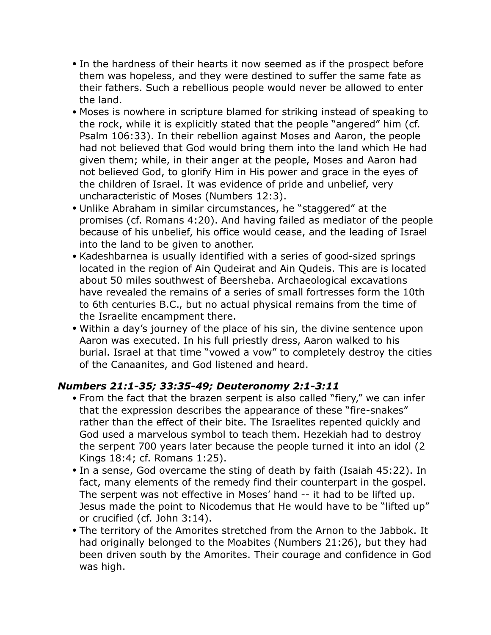- In the hardness of their hearts it now seemed as if the prospect before them was hopeless, and they were destined to suffer the same fate as their fathers. Such a rebellious people would never be allowed to enter the land.
- Moses is nowhere in scripture blamed for striking instead of speaking to the rock, while it is explicitly stated that the people "angered" him (cf. Psalm 106:33). In their rebellion against Moses and Aaron, the people had not believed that God would bring them into the land which He had given them; while, in their anger at the people, Moses and Aaron had not believed God, to glorify Him in His power and grace in the eyes of the children of Israel. It was evidence of pride and unbelief, very uncharacteristic of Moses (Numbers 12:3).
- Unlike Abraham in similar circumstances, he "staggered" at the promises (cf. Romans 4:20). And having failed as mediator of the people because of his unbelief, his office would cease, and the leading of Israel into the land to be given to another.
- Kadeshbarnea is usually identified with a series of good-sized springs located in the region of Ain Qudeirat and Ain Qudeis. This are is located about 50 miles southwest of Beersheba. Archaeological excavations have revealed the remains of a series of small fortresses form the 10th to 6th centuries B.C., but no actual physical remains from the time of the Israelite encampment there.
- Within a day's journey of the place of his sin, the divine sentence upon Aaron was executed. In his full priestly dress, Aaron walked to his burial. Israel at that time "vowed a vow" to completely destroy the cities of the Canaanites, and God listened and heard.

#### *Numbers 21:1-35; 33:35-49; Deuteronomy 2:1-3:11*

- From the fact that the brazen serpent is also called "fiery," we can infer that the expression describes the appearance of these "fire-snakes" rather than the effect of their bite. The Israelites repented quickly and God used a marvelous symbol to teach them. Hezekiah had to destroy the serpent 700 years later because the people turned it into an idol (2 Kings 18:4; cf. Romans 1:25).
- In a sense, God overcame the sting of death by faith (Isaiah 45:22). In fact, many elements of the remedy find their counterpart in the gospel. The serpent was not effective in Moses' hand -- it had to be lifted up. Jesus made the point to Nicodemus that He would have to be "lifted up" or crucified (cf. John 3:14).
- The territory of the Amorites stretched from the Arnon to the Jabbok. It had originally belonged to the Moabites (Numbers 21:26), but they had been driven south by the Amorites. Their courage and confidence in God was high.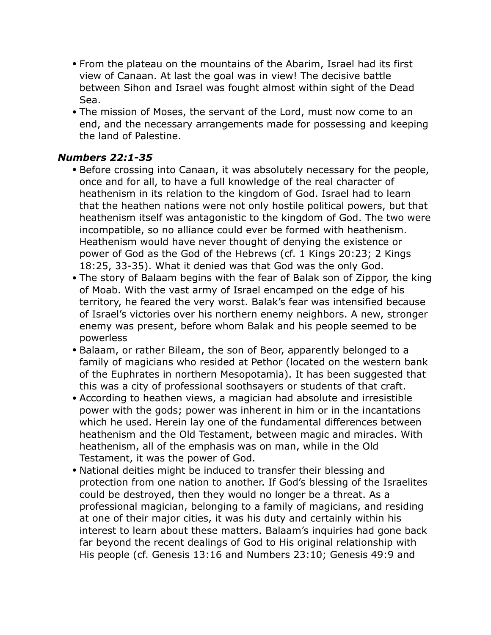- From the plateau on the mountains of the Abarim, Israel had its first view of Canaan. At last the goal was in view! The decisive battle between Sihon and Israel was fought almost within sight of the Dead Sea.
- The mission of Moses, the servant of the Lord, must now come to an end, and the necessary arrangements made for possessing and keeping the land of Palestine.

#### *Numbers 22:1-35*

- Before crossing into Canaan, it was absolutely necessary for the people, once and for all, to have a full knowledge of the real character of heathenism in its relation to the kingdom of God. Israel had to learn that the heathen nations were not only hostile political powers, but that heathenism itself was antagonistic to the kingdom of God. The two were incompatible, so no alliance could ever be formed with heathenism. Heathenism would have never thought of denying the existence or power of God as the God of the Hebrews (cf. 1 Kings 20:23; 2 Kings 18:25, 33-35). What it denied was that God was the only God.
- The story of Balaam begins with the fear of Balak son of Zippor, the king of Moab. With the vast army of Israel encamped on the edge of his territory, he feared the very worst. Balak's fear was intensified because of Israel's victories over his northern enemy neighbors. A new, stronger enemy was present, before whom Balak and his people seemed to be powerless
- Balaam, or rather Bileam, the son of Beor, apparently belonged to a family of magicians who resided at Pethor (located on the western bank of the Euphrates in northern Mesopotamia). It has been suggested that this was a city of professional soothsayers or students of that craft.
- According to heathen views, a magician had absolute and irresistible power with the gods; power was inherent in him or in the incantations which he used. Herein lay one of the fundamental differences between heathenism and the Old Testament, between magic and miracles. With heathenism, all of the emphasis was on man, while in the Old Testament, it was the power of God.
- National deities might be induced to transfer their blessing and protection from one nation to another. If God's blessing of the Israelites could be destroyed, then they would no longer be a threat. As a professional magician, belonging to a family of magicians, and residing at one of their major cities, it was his duty and certainly within his interest to learn about these matters. Balaam's inquiries had gone back far beyond the recent dealings of God to His original relationship with His people (cf. Genesis 13:16 and Numbers 23:10; Genesis 49:9 and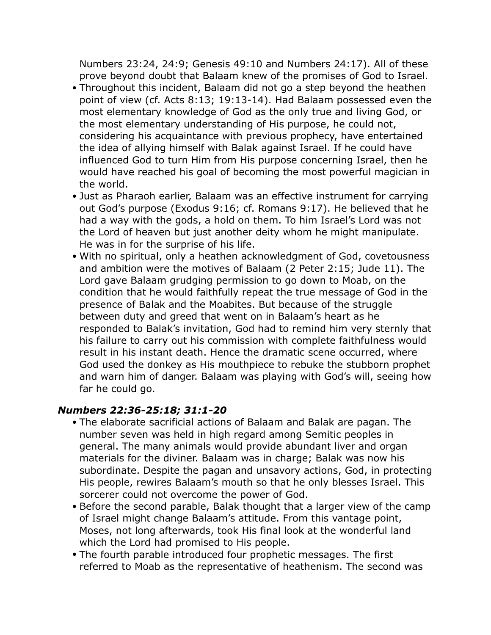Numbers 23:24, 24:9; Genesis 49:10 and Numbers 24:17). All of these prove beyond doubt that Balaam knew of the promises of God to Israel.

- Throughout this incident, Balaam did not go a step beyond the heathen point of view (cf. Acts 8:13; 19:13-14). Had Balaam possessed even the most elementary knowledge of God as the only true and living God, or the most elementary understanding of His purpose, he could not, considering his acquaintance with previous prophecy, have entertained the idea of allying himself with Balak against Israel. If he could have influenced God to turn Him from His purpose concerning Israel, then he would have reached his goal of becoming the most powerful magician in the world.
- Just as Pharaoh earlier, Balaam was an effective instrument for carrying out God's purpose (Exodus 9:16; cf. Romans 9:17). He believed that he had a way with the gods, a hold on them. To him Israel's Lord was not the Lord of heaven but just another deity whom he might manipulate. He was in for the surprise of his life.
- With no spiritual, only a heathen acknowledgment of God, covetousness and ambition were the motives of Balaam (2 Peter 2:15; Jude 11). The Lord gave Balaam grudging permission to go down to Moab, on the condition that he would faithfully repeat the true message of God in the presence of Balak and the Moabites. But because of the struggle between duty and greed that went on in Balaam's heart as he responded to Balak's invitation, God had to remind him very sternly that his failure to carry out his commission with complete faithfulness would result in his instant death. Hence the dramatic scene occurred, where God used the donkey as His mouthpiece to rebuke the stubborn prophet and warn him of danger. Balaam was playing with God's will, seeing how far he could go.

#### *Numbers 22:36-25:18; 31:1-20*

- The elaborate sacrificial actions of Balaam and Balak are pagan. The number seven was held in high regard among Semitic peoples in general. The many animals would provide abundant liver and organ materials for the diviner. Balaam was in charge; Balak was now his subordinate. Despite the pagan and unsavory actions, God, in protecting His people, rewires Balaam's mouth so that he only blesses Israel. This sorcerer could not overcome the power of God.
- Before the second parable, Balak thought that a larger view of the camp of Israel might change Balaam's attitude. From this vantage point, Moses, not long afterwards, took His final look at the wonderful land which the Lord had promised to His people.
- The fourth parable introduced four prophetic messages. The first referred to Moab as the representative of heathenism. The second was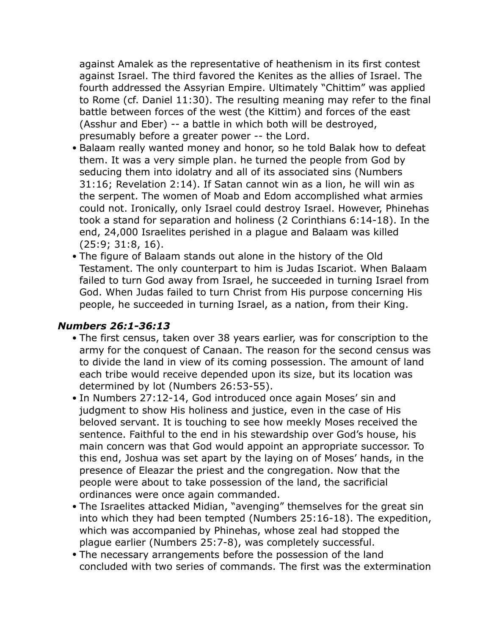against Amalek as the representative of heathenism in its first contest against Israel. The third favored the Kenites as the allies of Israel. The fourth addressed the Assyrian Empire. Ultimately "Chittim" was applied to Rome (cf. Daniel 11:30). The resulting meaning may refer to the final battle between forces of the west (the Kittim) and forces of the east (Asshur and Eber) -- a battle in which both will be destroyed, presumably before a greater power -- the Lord.

- Balaam really wanted money and honor, so he told Balak how to defeat them. It was a very simple plan. he turned the people from God by seducing them into idolatry and all of its associated sins (Numbers 31:16; Revelation 2:14). If Satan cannot win as a lion, he will win as the serpent. The women of Moab and Edom accomplished what armies could not. Ironically, only Israel could destroy Israel. However, Phinehas took a stand for separation and holiness (2 Corinthians 6:14-18). In the end, 24,000 Israelites perished in a plague and Balaam was killed (25:9; 31:8, 16).
- The figure of Balaam stands out alone in the history of the Old Testament. The only counterpart to him is Judas Iscariot. When Balaam failed to turn God away from Israel, he succeeded in turning Israel from God. When Judas failed to turn Christ from His purpose concerning His people, he succeeded in turning Israel, as a nation, from their King.

#### *Numbers 26:1-36:13*

- The first census, taken over 38 years earlier, was for conscription to the army for the conquest of Canaan. The reason for the second census was to divide the land in view of its coming possession. The amount of land each tribe would receive depended upon its size, but its location was determined by lot (Numbers 26:53-55).
- In Numbers 27:12-14, God introduced once again Moses' sin and judgment to show His holiness and justice, even in the case of His beloved servant. It is touching to see how meekly Moses received the sentence. Faithful to the end in his stewardship over God's house, his main concern was that God would appoint an appropriate successor. To this end, Joshua was set apart by the laying on of Moses' hands, in the presence of Eleazar the priest and the congregation. Now that the people were about to take possession of the land, the sacrificial ordinances were once again commanded.
- The Israelites attacked Midian, "avenging" themselves for the great sin into which they had been tempted (Numbers 25:16-18). The expedition, which was accompanied by Phinehas, whose zeal had stopped the plague earlier (Numbers 25:7-8), was completely successful.
- The necessary arrangements before the possession of the land concluded with two series of commands. The first was the extermination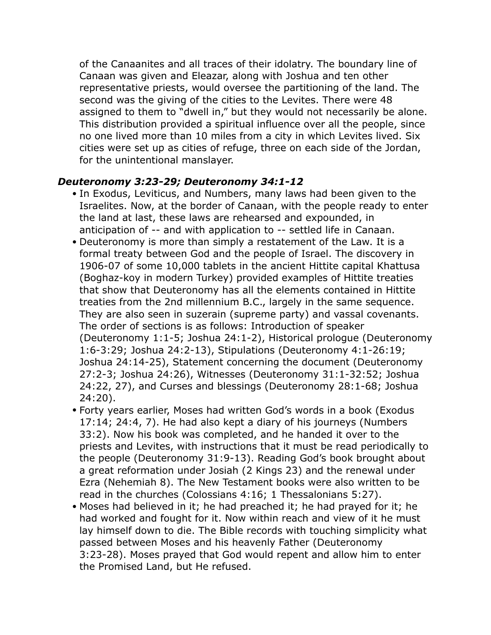of the Canaanites and all traces of their idolatry. The boundary line of Canaan was given and Eleazar, along with Joshua and ten other representative priests, would oversee the partitioning of the land. The second was the giving of the cities to the Levites. There were 48 assigned to them to "dwell in," but they would not necessarily be alone. This distribution provided a spiritual influence over all the people, since no one lived more than 10 miles from a city in which Levites lived. Six cities were set up as cities of refuge, three on each side of the Jordan, for the unintentional manslayer.

#### *Deuteronomy 3:23-29; Deuteronomy 34:1-12*

- In Exodus, Leviticus, and Numbers, many laws had been given to the Israelites. Now, at the border of Canaan, with the people ready to enter the land at last, these laws are rehearsed and expounded, in anticipation of -- and with application to -- settled life in Canaan.
- Deuteronomy is more than simply a restatement of the Law. It is a formal treaty between God and the people of Israel. The discovery in 1906-07 of some 10,000 tablets in the ancient Hittite capital Khattusa (Boghaz-koy in modern Turkey) provided examples of Hittite treaties that show that Deuteronomy has all the elements contained in Hittite treaties from the 2nd millennium B.C., largely in the same sequence. They are also seen in suzerain (supreme party) and vassal covenants. The order of sections is as follows: Introduction of speaker (Deuteronomy 1:1-5; Joshua 24:1-2), Historical prologue (Deuteronomy 1:6-3:29; Joshua 24:2-13), Stipulations (Deuteronomy 4:1-26:19; Joshua 24:14-25), Statement concerning the document (Deuteronomy 27:2-3; Joshua 24:26), Witnesses (Deuteronomy 31:1-32:52; Joshua 24:22, 27), and Curses and blessings (Deuteronomy 28:1-68; Joshua 24:20).
- Forty years earlier, Moses had written God's words in a book (Exodus 17:14; 24:4, 7). He had also kept a diary of his journeys (Numbers 33:2). Now his book was completed, and he handed it over to the priests and Levites, with instructions that it must be read periodically to the people (Deuteronomy 31:9-13). Reading God's book brought about a great reformation under Josiah (2 Kings 23) and the renewal under Ezra (Nehemiah 8). The New Testament books were also written to be read in the churches (Colossians 4:16; 1 Thessalonians 5:27).
- Moses had believed in it; he had preached it; he had prayed for it; he had worked and fought for it. Now within reach and view of it he must lay himself down to die. The Bible records with touching simplicity what passed between Moses and his heavenly Father (Deuteronomy 3:23-28). Moses prayed that God would repent and allow him to enter the Promised Land, but He refused.